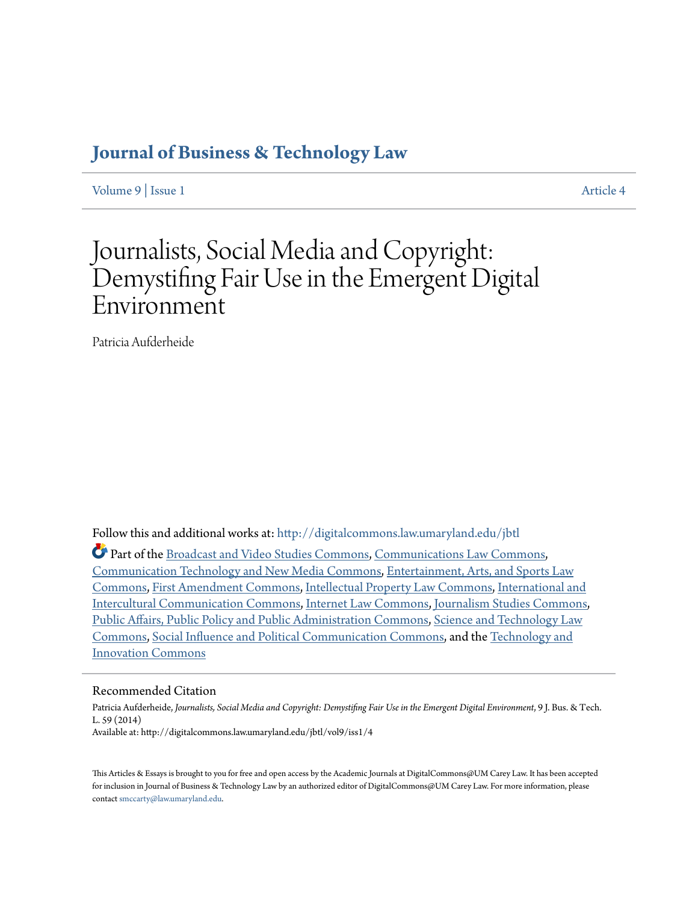# **[Journal of Business & Technology Law](http://digitalcommons.law.umaryland.edu/jbtl?utm_source=digitalcommons.law.umaryland.edu%2Fjbtl%2Fvol9%2Fiss1%2F4&utm_medium=PDF&utm_campaign=PDFCoverPages)**

[Volume 9](http://digitalcommons.law.umaryland.edu/jbtl/vol9?utm_source=digitalcommons.law.umaryland.edu%2Fjbtl%2Fvol9%2Fiss1%2F4&utm_medium=PDF&utm_campaign=PDFCoverPages) | [Issue 1](http://digitalcommons.law.umaryland.edu/jbtl/vol9/iss1?utm_source=digitalcommons.law.umaryland.edu%2Fjbtl%2Fvol9%2Fiss1%2F4&utm_medium=PDF&utm_campaign=PDFCoverPages) [Article 4](http://digitalcommons.law.umaryland.edu/jbtl/vol9/iss1/4?utm_source=digitalcommons.law.umaryland.edu%2Fjbtl%2Fvol9%2Fiss1%2F4&utm_medium=PDF&utm_campaign=PDFCoverPages)

# Journalists, Social Media and Copyright: Demystifing Fair Use in the Emergent Digital Environment

Patricia Aufderheide

Follow this and additional works at: [http://digitalcommons.law.umaryland.edu/jbtl](http://digitalcommons.law.umaryland.edu/jbtl?utm_source=digitalcommons.law.umaryland.edu%2Fjbtl%2Fvol9%2Fiss1%2F4&utm_medium=PDF&utm_campaign=PDFCoverPages)

Part of the [Broadcast and Video Studies Commons,](http://network.bepress.com/hgg/discipline/326?utm_source=digitalcommons.law.umaryland.edu%2Fjbtl%2Fvol9%2Fiss1%2F4&utm_medium=PDF&utm_campaign=PDFCoverPages) [Communications Law Commons](http://network.bepress.com/hgg/discipline/587?utm_source=digitalcommons.law.umaryland.edu%2Fjbtl%2Fvol9%2Fiss1%2F4&utm_medium=PDF&utm_campaign=PDFCoverPages), [Communication Technology and New Media Commons,](http://network.bepress.com/hgg/discipline/327?utm_source=digitalcommons.law.umaryland.edu%2Fjbtl%2Fvol9%2Fiss1%2F4&utm_medium=PDF&utm_campaign=PDFCoverPages) [Entertainment, Arts, and Sports Law](http://network.bepress.com/hgg/discipline/893?utm_source=digitalcommons.law.umaryland.edu%2Fjbtl%2Fvol9%2Fiss1%2F4&utm_medium=PDF&utm_campaign=PDFCoverPages) [Commons,](http://network.bepress.com/hgg/discipline/893?utm_source=digitalcommons.law.umaryland.edu%2Fjbtl%2Fvol9%2Fiss1%2F4&utm_medium=PDF&utm_campaign=PDFCoverPages) [First Amendment Commons](http://network.bepress.com/hgg/discipline/1115?utm_source=digitalcommons.law.umaryland.edu%2Fjbtl%2Fvol9%2Fiss1%2F4&utm_medium=PDF&utm_campaign=PDFCoverPages), [Intellectual Property Law Commons](http://network.bepress.com/hgg/discipline/896?utm_source=digitalcommons.law.umaryland.edu%2Fjbtl%2Fvol9%2Fiss1%2F4&utm_medium=PDF&utm_campaign=PDFCoverPages), [International and](http://network.bepress.com/hgg/discipline/331?utm_source=digitalcommons.law.umaryland.edu%2Fjbtl%2Fvol9%2Fiss1%2F4&utm_medium=PDF&utm_campaign=PDFCoverPages) [Intercultural Communication Commons,](http://network.bepress.com/hgg/discipline/331?utm_source=digitalcommons.law.umaryland.edu%2Fjbtl%2Fvol9%2Fiss1%2F4&utm_medium=PDF&utm_campaign=PDFCoverPages) [Internet Law Commons](http://network.bepress.com/hgg/discipline/892?utm_source=digitalcommons.law.umaryland.edu%2Fjbtl%2Fvol9%2Fiss1%2F4&utm_medium=PDF&utm_campaign=PDFCoverPages), [Journalism Studies Commons](http://network.bepress.com/hgg/discipline/333?utm_source=digitalcommons.law.umaryland.edu%2Fjbtl%2Fvol9%2Fiss1%2F4&utm_medium=PDF&utm_campaign=PDFCoverPages), [Public Affairs, Public Policy and Public Administration Commons,](http://network.bepress.com/hgg/discipline/393?utm_source=digitalcommons.law.umaryland.edu%2Fjbtl%2Fvol9%2Fiss1%2F4&utm_medium=PDF&utm_campaign=PDFCoverPages) [Science and Technology Law](http://network.bepress.com/hgg/discipline/875?utm_source=digitalcommons.law.umaryland.edu%2Fjbtl%2Fvol9%2Fiss1%2F4&utm_medium=PDF&utm_campaign=PDFCoverPages) [Commons,](http://network.bepress.com/hgg/discipline/875?utm_source=digitalcommons.law.umaryland.edu%2Fjbtl%2Fvol9%2Fiss1%2F4&utm_medium=PDF&utm_campaign=PDFCoverPages) [Social Influence and Political Communication Commons,](http://network.bepress.com/hgg/discipline/337?utm_source=digitalcommons.law.umaryland.edu%2Fjbtl%2Fvol9%2Fiss1%2F4&utm_medium=PDF&utm_campaign=PDFCoverPages) and the [Technology and](http://network.bepress.com/hgg/discipline/644?utm_source=digitalcommons.law.umaryland.edu%2Fjbtl%2Fvol9%2Fiss1%2F4&utm_medium=PDF&utm_campaign=PDFCoverPages) [Innovation Commons](http://network.bepress.com/hgg/discipline/644?utm_source=digitalcommons.law.umaryland.edu%2Fjbtl%2Fvol9%2Fiss1%2F4&utm_medium=PDF&utm_campaign=PDFCoverPages)

# Recommended Citation

Patricia Aufderheide, *Journalists, Social Media and Copyright: Demystifing Fair Use in the Emergent Digital Environment*, 9 J. Bus. & Tech. L. 59 (2014) Available at: http://digitalcommons.law.umaryland.edu/jbtl/vol9/iss1/4

This Articles & Essays is brought to you for free and open access by the Academic Journals at DigitalCommons@UM Carey Law. It has been accepted for inclusion in Journal of Business & Technology Law by an authorized editor of DigitalCommons@UM Carey Law. For more information, please contact [smccarty@law.umaryland.edu.](mailto:smccarty@law.umaryland.edu)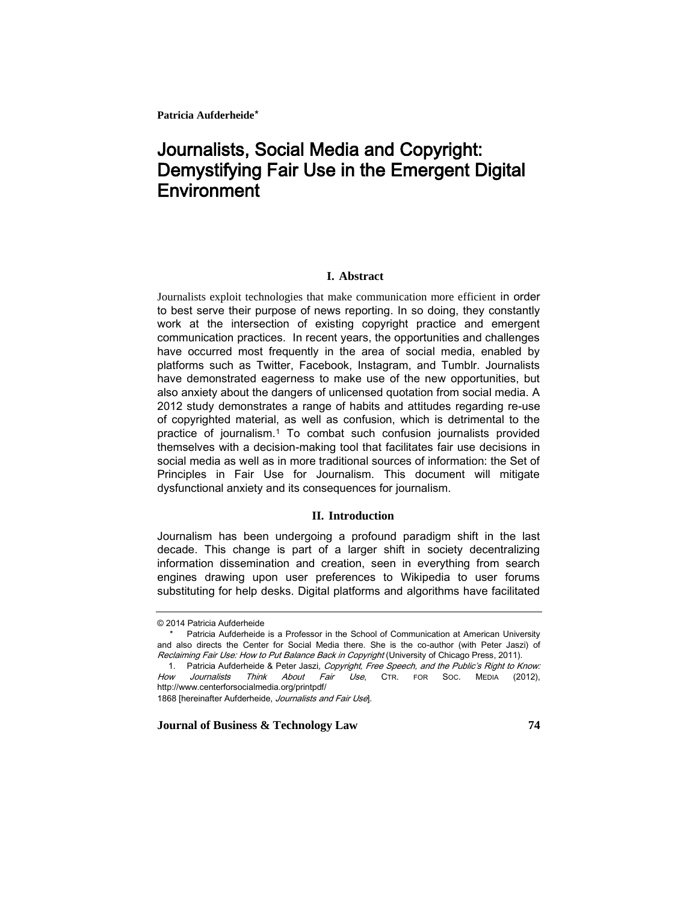# Journalists, Social Media and Copyright: Demystifying Fair Use in the Emergent Digital **Environment**

# **I. Abstract**

Journalists exploit technologies that make communication more efficient in order to best serve their purpose of news reporting. In so doing, they constantly work at the intersection of existing copyright practice and emergent communication practices. In recent years, the opportunities and challenges have occurred most frequently in the area of social media, enabled by platforms such as Twitter, Facebook, Instagram, and Tumblr. Journalists have demonstrated eagerness to make use of the new opportunities, but also anxiety about the dangers of unlicensed quotation from social media. A 2012 study demonstrates a range of habits and attitudes regarding re-use of copyrighted material, as well as confusion, which is detrimental to the practice of journalism.<sup>1</sup> To combat such confusion journalists provided themselves with a decision-making tool that facilitates fair use decisions in social media as well as in more traditional sources of information: the Set of Principles in Fair Use for Journalism. This document will mitigate dysfunctional anxiety and its consequences for journalism.

#### **II. Introduction**

Journalism has been undergoing a profound paradigm shift in the last decade. This change is part of a larger shift in society decentralizing information dissemination and creation, seen in everything from search engines drawing upon user preferences to Wikipedia to user forums substituting for help desks. Digital platforms and algorithms have facilitated

<sup>© 2014</sup> Patricia Aufderheide

<sup>\*</sup> Patricia Aufderheide is a Professor in the School of Communication at American University and also directs the Center for Social Media there. She is the co-author (with Peter Jaszi) of Reclaiming Fair Use: How to Put Balance Back in Copyright (University of Chicago Press, 2011).

<sup>1.</sup> Patricia Aufderheide & Peter Jaszi, Copyright, Free Speech, and the Public's Right to Know: How Journalists Think About Fair Use, CTR. FOR SOC. MEDIA (2012), http://www.centerforsocialmedia.org/printpdf/

<sup>1868 [</sup>hereinafter Aufderheide, Journalists and Fair Use].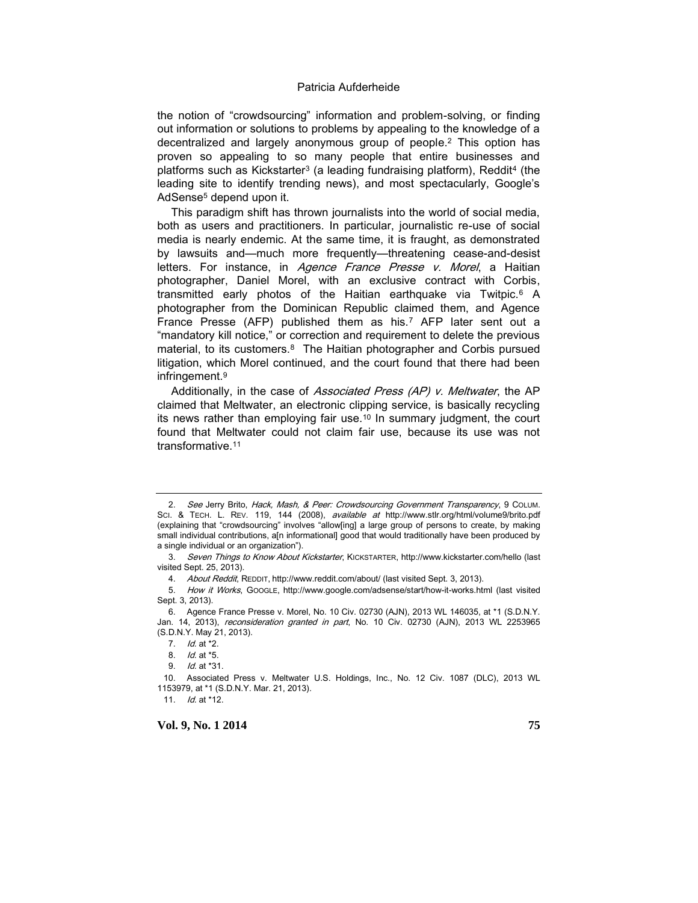the notion of "crowdsourcing" information and problem-solving, or finding out information or solutions to problems by appealing to the knowledge of a decentralized and largely anonymous group of people.<sup>2</sup> This option has proven so appealing to so many people that entire businesses and platforms such as Kickstarter<sup>3</sup> (a leading fundraising platform), Reddit<sup>4</sup> (the leading site to identify trending news), and most spectacularly, Google's AdSense<sup>5</sup> depend upon it.

This paradigm shift has thrown journalists into the world of social media, both as users and practitioners. In particular, journalistic re-use of social media is nearly endemic. At the same time, it is fraught, as demonstrated by lawsuits and—much more frequently—threatening cease-and-desist letters. For instance, in *Agence France Presse v. Morel*, a Haitian photographer, Daniel Morel, with an exclusive contract with Corbis, transmitted early photos of the Haitian earthquake via Twitpic.<sup>6</sup> A photographer from the Dominican Republic claimed them, and Agence France Presse (AFP) published them as his.<sup>7</sup> AFP later sent out a "mandatory kill notice," or correction and requirement to delete the previous material, to its customers.<sup>8</sup> The Haitian photographer and Corbis pursued litigation, which Morel continued, and the court found that there had been infringement.<sup>9</sup>

Additionally, in the case of *Associated Press (AP) v. Meltwater*, the AP claimed that Meltwater, an electronic clipping service, is basically recycling its news rather than employing fair use.<sup>10</sup> In summary judgment, the court found that Meltwater could not claim fair use, because its use was not transformative.<sup>11</sup>

11. *Id.* at \*12.

<sup>2.</sup> See Jerry Brito, Hack, Mash, & Peer: Crowdsourcing Government Transparency, 9 COLUM. SCI. & TECH. L. REV. 119, 144 (2008), available at http://www.stlr.org/html/volume9/brito.pdf (explaining that "crowdsourcing" involves "allow[ing] a large group of persons to create, by making small individual contributions, a[n informational] good that would traditionally have been produced by a single individual or an organization").

<sup>3.</sup> Seven Things to Know About Kickstarter, KICKSTARTER, http://www.kickstarter.com/hello (last visited Sept. 25, 2013).

<sup>4.</sup> About Reddit, REDDIT, http://www.reddit.com/about/ (last visited Sept. 3, 2013).

<sup>5.</sup> How it Works, GOOGLE, http://www.google.com/adsense/start/how-it-works.html (last visited Sept. 3, 2013).

<sup>6.</sup> Agence France Presse v. Morel, No. 10 Civ. 02730 (AJN), 2013 WL 146035, at \*1 (S.D.N.Y. Jan. 14, 2013), reconsideration granted in part, No. 10 Civ. 02730 (AJN), 2013 WL 2253965 (S.D.N.Y. May 21, 2013).

<sup>7.</sup> *Id.* at \*2.

<sup>8.</sup> Id. at \*5.

<sup>9.</sup> *Id.* at  $*31$ .

<sup>10.</sup> Associated Press v. Meltwater U.S. Holdings, Inc., No. 12 Civ. 1087 (DLC), 2013 WL 1153979, at \*1 (S.D.N.Y. Mar. 21, 2013).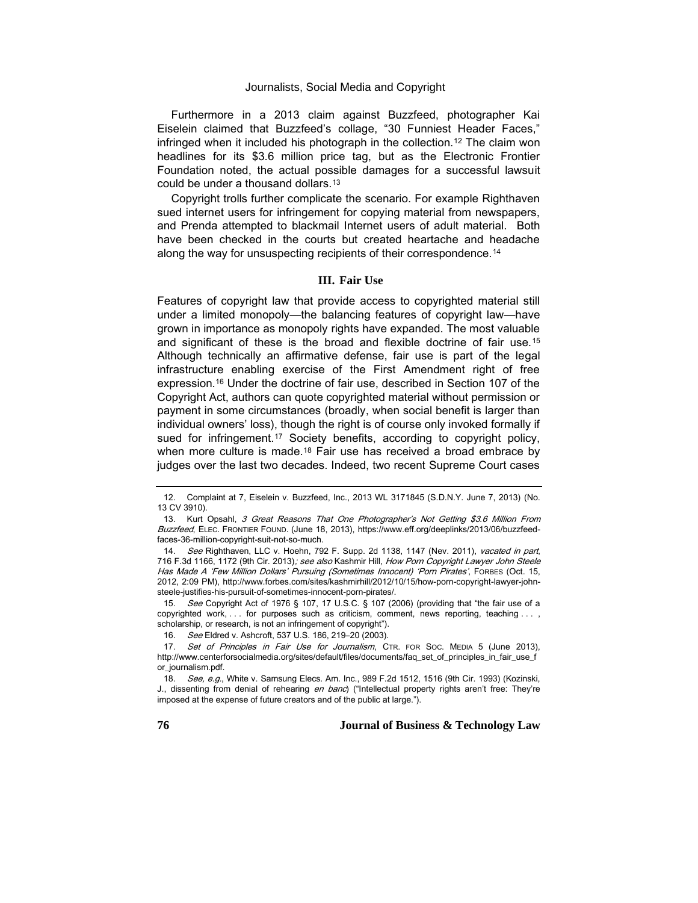Furthermore in a 2013 claim against Buzzfeed, photographer Kai Eiselein claimed that Buzzfeed's collage, "30 Funniest Header Faces," infringed when it included his photograph in the collection.<sup>12</sup> The claim won headlines for its \$3.6 million price tag, but as the Electronic Frontier Foundation noted, the actual possible damages for a successful lawsuit could be under a thousand dollars.<sup>13</sup>

Copyright trolls further complicate the scenario. For example Righthaven sued internet users for infringement for copying material from newspapers, and Prenda attempted to blackmail Internet users of adult material. Both have been checked in the courts but created heartache and headache along the way for unsuspecting recipients of their correspondence.<sup>14</sup>

# **III. Fair Use**

Features of copyright law that provide access to copyrighted material still under a limited monopoly—the balancing features of copyright law—have grown in importance as monopoly rights have expanded. The most valuable and significant of these is the broad and flexible doctrine of fair use.<sup>15</sup> Although technically an affirmative defense, fair use is part of the legal infrastructure enabling exercise of the First Amendment right of free expression.<sup>16</sup> Under the doctrine of fair use, described in Section 107 of the Copyright Act, authors can quote copyrighted material without permission or payment in some circumstances (broadly, when social benefit is larger than individual owners' loss), though the right is of course only invoked formally if sued for infringement.<sup>17</sup> Society benefits, according to copyright policy, when more culture is made.<sup>18</sup> Fair use has received a broad embrace by judges over the last two decades. Indeed, two recent Supreme Court cases

15. See Copyright Act of 1976 § 107, 17 U.S.C. § 107 (2006) (providing that "the fair use of a copyrighted work, . . . for purposes such as criticism, comment, news reporting, teaching . . . , scholarship, or research, is not an infringement of copyright").

16. See Eldred v. Ashcroft, 537 U.S. 186, 219-20 (2003).

<sup>12.</sup> Complaint at 7, Eiselein v. Buzzfeed, Inc., 2013 WL 3171845 (S.D.N.Y. June 7, 2013) (No. 13 CV 3910).

<sup>13.</sup> Kurt Opsahl, 3 Great Reasons That One Photographer's Not Getting \$3.6 Million From Buzzfeed, ELEC. FRONTIER FOUND. (June 18, 2013), https://www.eff.org/deeplinks/2013/06/buzzfeedfaces-36-million-copyright-suit-not-so-much.

<sup>14.</sup> See Righthaven, LLC v. Hoehn, 792 F. Supp. 2d 1138, 1147 (Nev. 2011), vacated in part, 716 F.3d 1166, 1172 (9th Cir. 2013); see also Kashmir Hill, How Porn Copyright Lawyer John Steele Has Made A 'Few Million Dollars' Pursuing (Sometimes Innocent) 'Porn Pirates', FORBES (Oct. 15, 2012, 2:09 PM), http://www.forbes.com/sites/kashmirhill/2012/10/15/how-porn-copyright-lawyer-johnsteele-justifies-his-pursuit-of-sometimes-innocent-porn-pirates/.

<sup>17.</sup> Set of Principles in Fair Use for Journalism, CTR. FOR Soc. MEDIA 5 (June 2013), http://www.centerforsocialmedia.org/sites/default/files/documents/faq\_set\_of\_principles\_in\_fair\_use\_f or\_journalism.pdf.

<sup>18.</sup> See, e.g., White v. Samsung Elecs. Am. Inc., 989 F.2d 1512, 1516 (9th Cir. 1993) (Kozinski, J., dissenting from denial of rehearing en banc) ("Intellectual property rights aren't free: They're imposed at the expense of future creators and of the public at large.").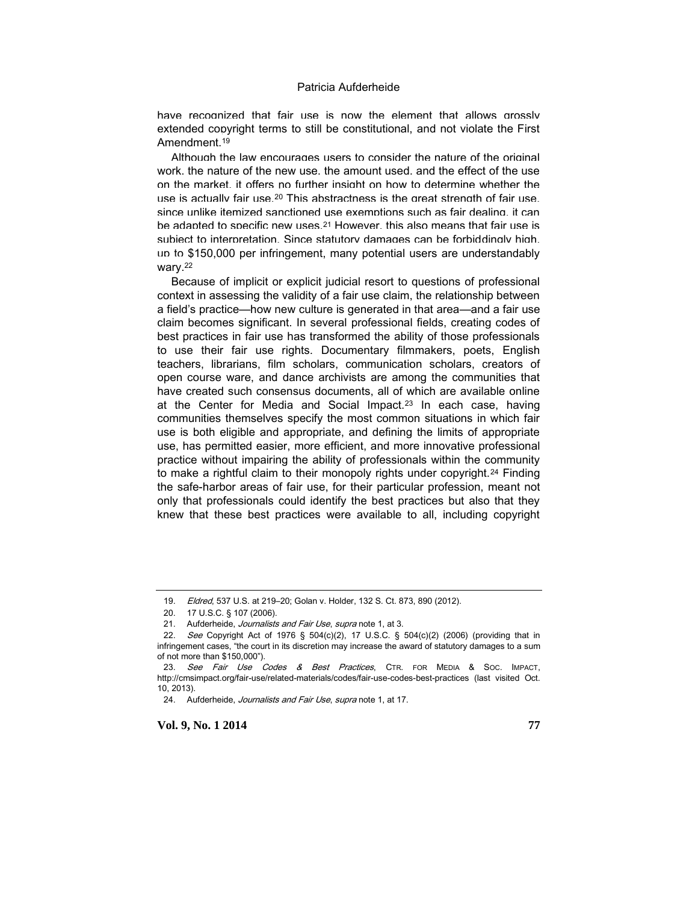have recognized that fair use is now the element that allows grossly extended copyright terms to still be constitutional, and not violate the First Amendment.<sup>19</sup>

Although the law encourages users to consider the nature of the original work, the nature of the new use, the amount used, and the effect of the use on the market, it offers no further insight on how to determine whether the use is actually fair use  $20$  This abstractness is the great strength of fair use since unlike itemized sanctioned use exemptions such as fair dealing, it can be adapted to specific new uses.<sup>21</sup> However, this also means that fair use is subject to interpretation. Since statutory damages can be forbiddingly high up to \$150,000 per infringement, many potential users are understandably wary.<sup>22</sup>

Because of implicit or explicit judicial resort to questions of professional context in assessing the validity of a fair use claim, the relationship between a field's practice—how new culture is generated in that area—and a fair use claim becomes significant. In several professional fields, creating codes of best practices in fair use has transformed the ability of those professionals to use their fair use rights. Documentary filmmakers, poets, English teachers, librarians, film scholars, communication scholars, creators of open course ware, and dance archivists are among the communities that have created such consensus documents, all of which are available online at the Center for Media and Social Impact.<sup>23</sup> In each case, having communities themselves specify the most common situations in which fair use is both eligible and appropriate, and defining the limits of appropriate use, has permitted easier, more efficient, and more innovative professional practice without impairing the ability of professionals within the community to make a rightful claim to their monopoly rights under copyright.<sup>24</sup> Finding the safe-harbor areas of fair use, for their particular profession, meant not only that professionals could identify the best practices but also that they knew that these best practices were available to all, including copyright

<sup>19.</sup> *Eldred*, 537 U.S. at 219-20; Golan v. Holder, 132 S. Ct. 873, 890 (2012).

<sup>20.</sup> 17 U.S.C. § 107 (2006).

<sup>21.</sup> Aufderheide, Journalists and Fair Use, supra note 1, at 3.

<sup>22.</sup> See Copyright Act of 1976 § 504(c)(2), 17 U.S.C. § 504(c)(2) (2006) (providing that in infringement cases, "the court in its discretion may increase the award of statutory damages to a sum of not more than \$150,000").

<sup>23.</sup> See Fair Use Codes & Best Practices, CTR. FOR MEDIA & SOC. IMPACT, http://cmsimpact.org/fair-use/related-materials/codes/fair-use-codes-best-practices (last visited Oct. 10, 2013).

<sup>24.</sup> Aufderheide, Journalists and Fair Use, supra note 1, at 17.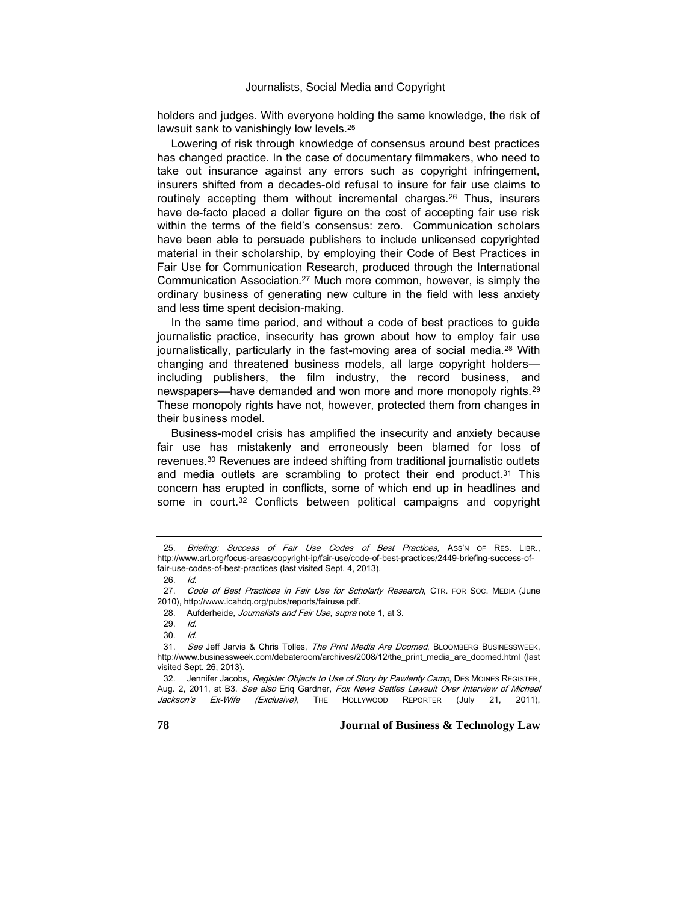holders and judges. With everyone holding the same knowledge, the risk of lawsuit sank to vanishingly low levels.<sup>25</sup>

Lowering of risk through knowledge of consensus around best practices has changed practice. In the case of documentary filmmakers, who need to take out insurance against any errors such as copyright infringement, insurers shifted from a decades-old refusal to insure for fair use claims to routinely accepting them without incremental charges.<sup>26</sup> Thus, insurers have de-facto placed a dollar figure on the cost of accepting fair use risk within the terms of the field's consensus: zero. Communication scholars have been able to persuade publishers to include unlicensed copyrighted material in their scholarship, by employing their Code of Best Practices in Fair Use for Communication Research, produced through the International Communication Association.<sup>27</sup> Much more common, however, is simply the ordinary business of generating new culture in the field with less anxiety and less time spent decision-making.

In the same time period, and without a code of best practices to guide journalistic practice, insecurity has grown about how to employ fair use journalistically, particularly in the fast-moving area of social media.<sup>28</sup> With changing and threatened business models, all large copyright holders including publishers, the film industry, the record business, and newspapers—have demanded and won more and more monopoly rights.<sup>29</sup> These monopoly rights have not, however, protected them from changes in their business model.

Business-model crisis has amplified the insecurity and anxiety because fair use has mistakenly and erroneously been blamed for loss of revenues.<sup>30</sup> Revenues are indeed shifting from traditional journalistic outlets and media outlets are scrambling to protect their end product. $31$  This concern has erupted in conflicts, some of which end up in headlines and some in court.<sup>32</sup> Conflicts between political campaigns and copyright

Briefing: Success of Fair Use Codes of Best Practices, Ass'n OF RES. LIBR., http://www.arl.org/focus-areas/copyright-ip/fair-use/code-of-best-practices/2449-briefing-success-offair-use-codes-of-best-practices (last visited Sept. 4, 2013).

<sup>26.</sup> Id.

<sup>27.</sup> Code of Best Practices in Fair Use for Scholarly Research, CTR. FOR Soc. MEDIA (June 2010), http://www.icahdq.org/pubs/reports/fairuse.pdf.

<sup>28.</sup> Aufderheide, Journalists and Fair Use, supra note 1, at 3.

<sup>29.</sup> Id.

<sup>30.</sup> Id.

<sup>31.</sup> See Jeff Jarvis & Chris Tolles, The Print Media Are Doomed, BLOOMBERG BUSINESSWEEK, http://www.businessweek.com/debateroom/archives/2008/12/the\_print\_media\_are\_doomed.html (last visited Sept. 26, 2013).

<sup>32.</sup> Jennifer Jacobs, Register Objects to Use of Story by Pawlenty Camp, DES MOINES REGISTER, Aug. 2, 2011, at B3. See also Eriq Gardner, Fox News Settles Lawsuit Over Interview of Michael Jackson's Ex-Wife (Exclusive), THE HOLLYWOOD REPORTER (July 21, 2011),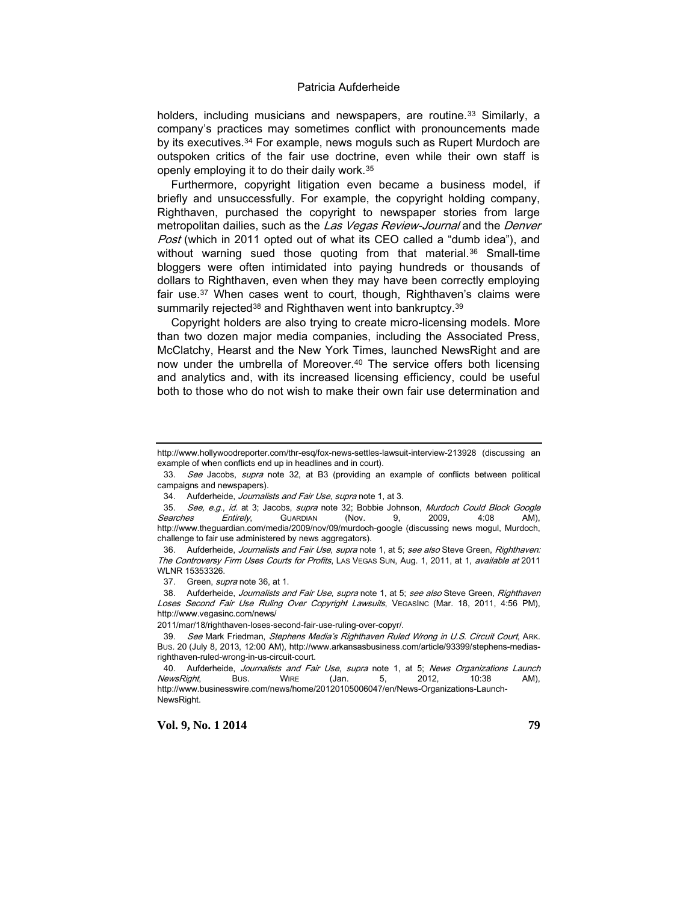holders, including musicians and newspapers, are routine.<sup>33</sup> Similarly, a company's practices may sometimes conflict with pronouncements made by its executives.<sup>34</sup> For example, news moguls such as Rupert Murdoch are outspoken critics of the fair use doctrine, even while their own staff is openly employing it to do their daily work.<sup>35</sup>

Furthermore, copyright litigation even became a business model, if briefly and unsuccessfully. For example, the copyright holding company, Righthaven, purchased the copyright to newspaper stories from large metropolitan dailies, such as the Las Vegas Review-Journal and the Denver Post (which in 2011 opted out of what its CEO called a "dumb idea"), and without warning sued those quoting from that material.<sup>36</sup> Small-time bloggers were often intimidated into paying hundreds or thousands of dollars to Righthaven, even when they may have been correctly employing fair use.<sup>37</sup> When cases went to court, though, Righthaven's claims were summarily rejected<sup>38</sup> and Righthaven went into bankruptcy.<sup>39</sup>

Copyright holders are also trying to create micro-licensing models. More than two dozen major media companies, including the Associated Press, McClatchy, Hearst and the New York Times, launched NewsRight and are now under the umbrella of Moreover.<sup>40</sup> The service offers both licensing and analytics and, with its increased licensing efficiency, could be useful both to those who do not wish to make their own fair use determination and

37. Green, *supra* note 36, at 1.

38. Aufderheide, Journalists and Fair Use, supra note 1, at 5; see also Steve Green, Righthaven Loses Second Fair Use Ruling Over Copyright Lawsuits, VEGASINC (Mar. 18, 2011, 4:56 PM), http://www.vegasinc.com/news/

2011/mar/18/righthaven-loses-second-fair-use-ruling-over-copyr/.

http://www.hollywoodreporter.com/thr-esq/fox-news-settles-lawsuit-interview-213928 (discussing an example of when conflicts end up in headlines and in court).

<sup>33.</sup> See Jacobs, supra note 32, at B3 (providing an example of conflicts between political campaigns and newspapers).

<sup>34.</sup> Aufderheide, Journalists and Fair Use, supra note 1, at 3.

<sup>35.</sup> See, e.g., id. at 3; Jacobs, supra note 32; Bobbie Johnson, Murdoch Could Block Google Searches Entirely, Guardian (Nov. 9, 2009, 4:08 AM), http://www.theguardian.com/media/2009/nov/09/murdoch-google (discussing news mogul, Murdoch, challenge to fair use administered by news aggregators).

<sup>36.</sup> Aufderheide, Journalists and Fair Use, supra note 1, at 5; see also Steve Green, Righthaven: The Controversy Firm Uses Courts for Profits, LAS VEGAS SUN, Aug. 1, 2011, at 1, available at 2011 WLNR 15353326.

<sup>39.</sup> See Mark Friedman, Stephens Media's Righthaven Ruled Wrong in U.S. Circuit Court, ARK. BUS. 20 (July 8, 2013, 12:00 AM), http://www.arkansasbusiness.com/article/93399/stephens-mediasrighthaven-ruled-wrong-in-us-circuit-court.

<sup>40.</sup> Aufderheide, Journalists and Fair Use, supra note 1, at 5; News Organizations Launch NewsRight, Bus. WIRE (Jan. 5, 2012, 10:38 AM), http://www.businesswire.com/news/home/20120105006047/en/News-Organizations-Launch-NewsRight.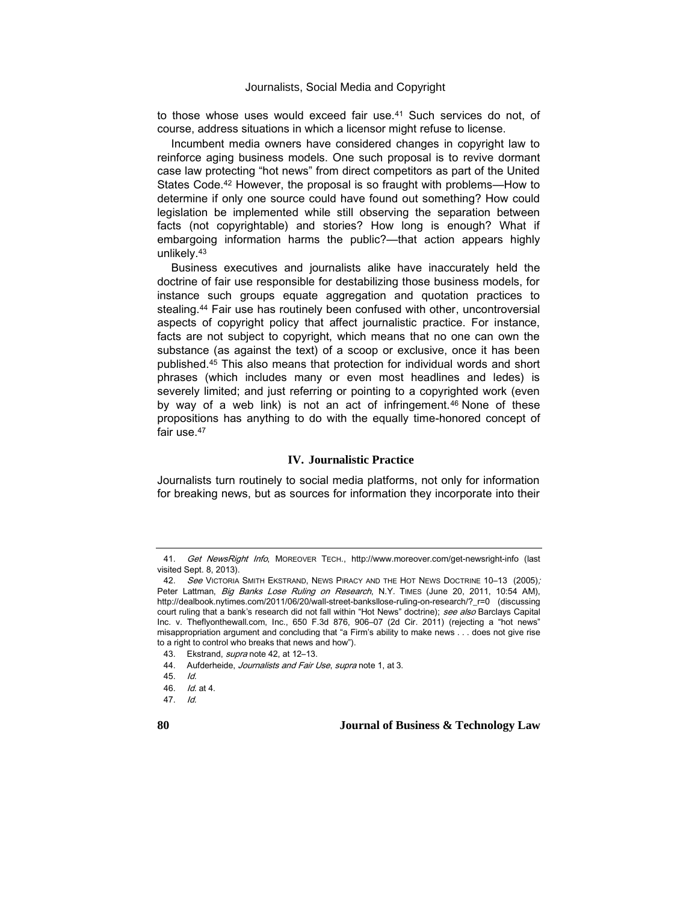to those whose uses would exceed fair use.<sup>41</sup> Such services do not, of course, address situations in which a licensor might refuse to license.

Incumbent media owners have considered changes in copyright law to reinforce aging business models. One such proposal is to revive dormant case law protecting "hot news" from direct competitors as part of the United States Code.<sup>42</sup> However, the proposal is so fraught with problems—How to determine if only one source could have found out something? How could legislation be implemented while still observing the separation between facts (not copyrightable) and stories? How long is enough? What if embargoing information harms the public?—that action appears highly unlikely.<sup>43</sup>

Business executives and journalists alike have inaccurately held the doctrine of fair use responsible for destabilizing those business models, for instance such groups equate aggregation and quotation practices to stealing.<sup>44</sup> Fair use has routinely been confused with other, uncontroversial aspects of copyright policy that affect journalistic practice. For instance, facts are not subject to copyright, which means that no one can own the substance (as against the text) of a scoop or exclusive, once it has been published.<sup>45</sup> This also means that protection for individual words and short phrases (which includes many or even most headlines and ledes) is severely limited; and just referring or pointing to a copyrighted work (even by way of a web link) is not an act of infringement.<sup>46</sup> None of these propositions has anything to do with the equally time-honored concept of fair use.<sup>47</sup>

#### **IV. Journalistic Practice**

Journalists turn routinely to social media platforms, not only for information for breaking news, but as sources for information they incorporate into their

<sup>41.</sup> Get NewsRight Info, MOREOVER TECH., http://www.moreover.com/get-newsright-info (last visited Sept. 8, 2013).

<sup>42.</sup> See VICTORIA SMITH EKSTRAND, NEWS PIRACY AND THE HOT NEWS DOCTRINE 10-13 (2005); Peter Lattman, Big Banks Lose Ruling on Research, N.Y. TIMES (June 20, 2011, 10:54 AM), http://dealbook.nytimes.com/2011/06/20/wall-street-banksllose-ruling-on-research/?\_r=0 (discussing court ruling that a bank's research did not fall within "Hot News" doctrine); see also Barclays Capital Inc. v. Theflyonthewall.com, Inc., 650 F.3d 876, 906–07 (2d Cir. 2011) (rejecting a "hot news" misappropriation argument and concluding that "a Firm's ability to make news . . . does not give rise to a right to control who breaks that news and how").

<sup>43.</sup> Ekstrand, *supra* note 42, at 12-13.

<sup>44.</sup> Aufderheide, Journalists and Fair Use, supra note 1, at 3.

<sup>45.</sup> Id.

<sup>46.</sup> Id. at 4.

<sup>47.</sup> Id.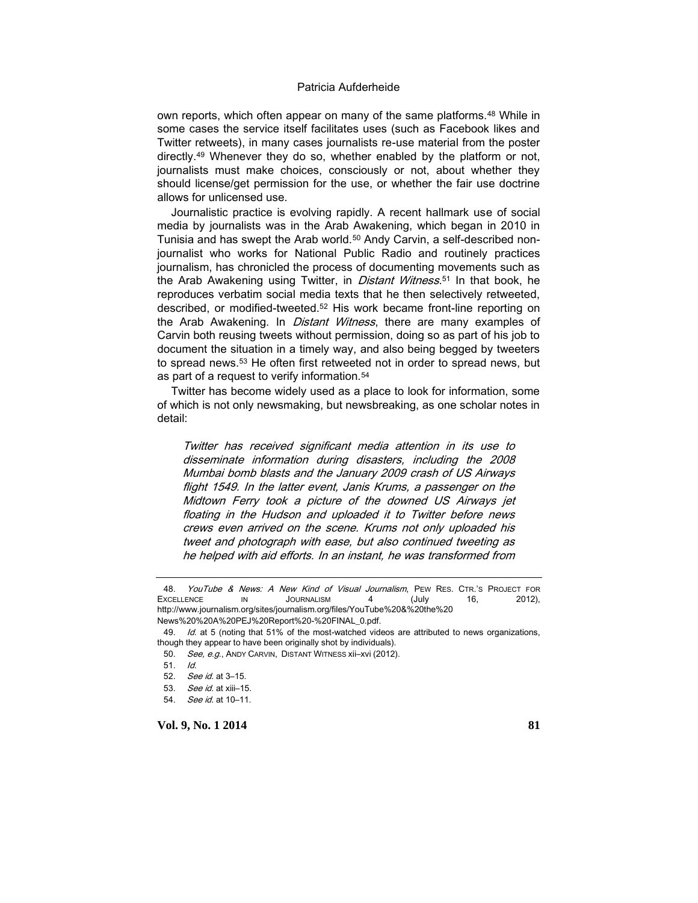own reports, which often appear on many of the same platforms.<sup>48</sup> While in some cases the service itself facilitates uses (such as Facebook likes and Twitter retweets), in many cases journalists re-use material from the poster directly.<sup>49</sup> Whenever they do so, whether enabled by the platform or not, journalists must make choices, consciously or not, about whether they should license/get permission for the use, or whether the fair use doctrine allows for unlicensed use.

Journalistic practice is evolving rapidly. A recent hallmark use of social media by journalists was in the Arab Awakening, which began in 2010 in Tunisia and has swept the Arab world.<sup>50</sup> Andy Carvin, a self-described nonjournalist who works for National Public Radio and routinely practices journalism, has chronicled the process of documenting movements such as the Arab Awakening using Twitter, in *Distant Witness*.<sup>51</sup> In that book, he reproduces verbatim social media texts that he then selectively retweeted, described, or modified-tweeted.<sup>52</sup> His work became front-line reporting on the Arab Awakening. In *Distant Witness*, there are many examples of Carvin both reusing tweets without permission, doing so as part of his job to document the situation in a timely way, and also being begged by tweeters to spread news.<sup>53</sup> He often first retweeted not in order to spread news, but as part of a request to verify information.<sup>54</sup>

Twitter has become widely used as a place to look for information, some of which is not only newsmaking, but newsbreaking, as one scholar notes in detail:

Twitter has received significant media attention in its use to disseminate information during disasters, including the 2008 Mumbai bomb blasts and the January 2009 crash of US Airways flight 1549. In the latter event, Janis Krums, a passenger on the Midtown Ferry took a picture of the downed US Airways jet floating in the Hudson and uploaded it to Twitter before news crews even arrived on the scene. Krums not only uploaded his tweet and photograph with ease, but also continued tweeting as he helped with aid efforts. In an instant, he was transformed from

<sup>48.</sup> YouTube & News: A New Kind of Visual Journalism, PEW RES. CTR.'S PROJECT FOR EXCELLENCE IN JOURNALISM 4 (July 16, 2012), http://www.journalism.org/sites/journalism.org/files/YouTube%20&%20the%20 News%20%20A%20PEJ%20Report%20-%20FINAL\_0.pdf.

<sup>49.</sup> Id. at 5 (noting that 51% of the most-watched videos are attributed to news organizations,

though they appear to have been originally shot by individuals).

<sup>50.</sup> See, e.g., ANDY CARVIN, DISTANT WITNESS xii-xvi (2012).

<sup>51.</sup> Id.

<sup>52.</sup> See id. at 3–15.

<sup>53.</sup> See id. at xiii–15.

<sup>54.</sup> See id. at 10–11.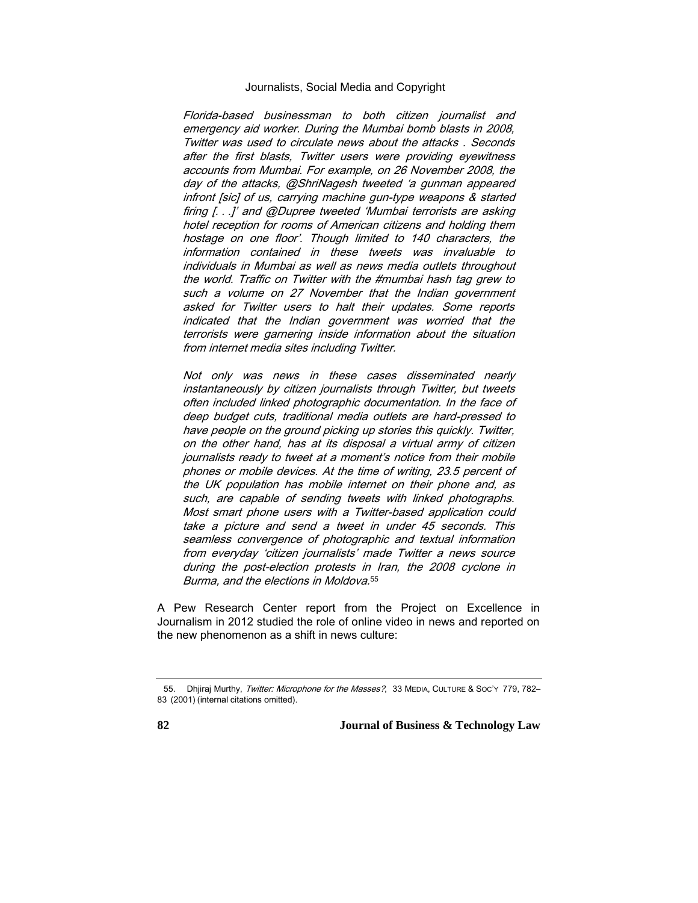Florida-based businessman to both citizen journalist and emergency aid worker. During the Mumbai bomb blasts in 2008, Twitter was used to circulate news about the attacks . Seconds after the first blasts, Twitter users were providing eyewitness accounts from Mumbai. For example, on 26 November 2008, the day of the attacks, @ShriNagesh tweeted 'a gunman appeared infront [sic] of us, carrying machine gun-type weapons & started firing [. . .]' and @Dupree tweeted 'Mumbai terrorists are asking hotel reception for rooms of American citizens and holding them hostage on one floor'. Though limited to 140 characters, the information contained in these tweets was invaluable to individuals in Mumbai as well as news media outlets throughout the world. Traffic on Twitter with the #mumbai hash tag grew to such a volume on 27 November that the Indian government asked for Twitter users to halt their updates. Some reports indicated that the Indian government was worried that the terrorists were garnering inside information about the situation from internet media sites including Twitter.

Not only was news in these cases disseminated nearly instantaneously by citizen journalists through Twitter, but tweets often included linked photographic documentation. In the face of deep budget cuts, traditional media outlets are hard-pressed to have people on the ground picking up stories this quickly. Twitter, on the other hand, has at its disposal a virtual army of citizen journalists ready to tweet at a moment's notice from their mobile phones or mobile devices. At the time of writing, 23.5 percent of the UK population has mobile internet on their phone and, as such, are capable of sending tweets with linked photographs. Most smart phone users with a Twitter-based application could take a picture and send a tweet in under 45 seconds. This seamless convergence of photographic and textual information from everyday 'citizen journalists' made Twitter a news source during the post-election protests in Iran, the 2008 cyclone in Burma, and the elections in Moldova. 55

A Pew Research Center report from the Project on Excellence in Journalism in 2012 studied the role of online video in news and reported on the new phenomenon as a shift in news culture:

<sup>55.</sup> Dhjiraj Murthy, Twitter: Microphone for the Masses?, 33 MEDIA, CULTURE & SOC'Y 779, 782-83 (2001) (internal citations omitted).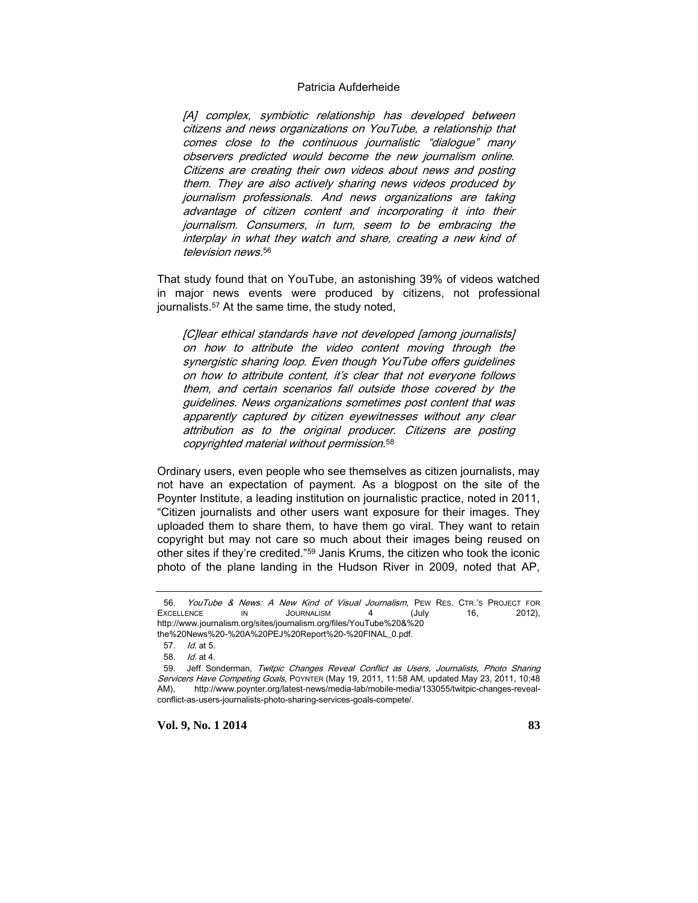[A] complex, symbiotic relationship has developed between citizens and news organizations on YouTube, a relationship that comes close to the continuous journalistic "dialogue" many observers predicted would become the new journalism online. Citizens are creating their own videos about news and posting them. They are also actively sharing news videos produced by journalism professionals. And news organizations are taking advantage of citizen content and incorporating it into their journalism. Consumers, in turn, seem to be embracing the interplay in what they watch and share, creating a new kind of television news. 56

That study found that on YouTube, an astonishing 39% of videos watched in major news events were produced by citizens, not professional journalists.<sup>57</sup> At the same time, the study noted,

[C]lear ethical standards have not developed [among journalists] on how to attribute the video content moving through the synergistic sharing loop. Even though YouTube offers guidelines on how to attribute content, it's clear that not everyone follows them, and certain scenarios fall outside those covered by the guidelines. News organizations sometimes post content that was apparently captured by citizen eyewitnesses without any clear attribution as to the original producer. Citizens are posting copyrighted material without permission. 58

Ordinary users, even people who see themselves as citizen journalists, may not have an expectation of payment. As a blogpost on the site of the Poynter Institute, a leading institution on journalistic practice, noted in 2011, "Citizen journalists and other users want exposure for their images. They uploaded them to share them, to have them go viral. They want to retain copyright but may not care so much about their images being reused on other sites if they're credited."<sup>59</sup> Janis Krums, the citizen who took the iconic photo of the plane landing in the Hudson River in 2009, noted that AP,

<sup>56.</sup> YouTube & News: A New Kind of Visual Journalism, PEW RES. CTR.'S PROJECT FOR EXCELLENCE IN JOURNALISM 4 (July 16, 2012), http://www.journalism.org/sites/journalism.org/files/YouTube%20&%20

the%20News%20-%20A%20PEJ%20Report%20-%20FINAL\_0.pdf.

<sup>57.</sup> Id. at 5.

<sup>58.</sup> Id. at 4.

<sup>59.</sup> Jeff Sonderman, Twitpic Changes Reveal Conflict as Users, Journalists, Photo Sharing Servicers Have Competing Goals, POYNTER (May 19, 2011, 11:58 AM, updated May 23, 2011, 10:48 AM), http://www.poynter.org/latest-news/media-lab/mobile-media/133055/twitpic-changes-revealconflict-as-users-journalists-photo-sharing-services-goals-compete/.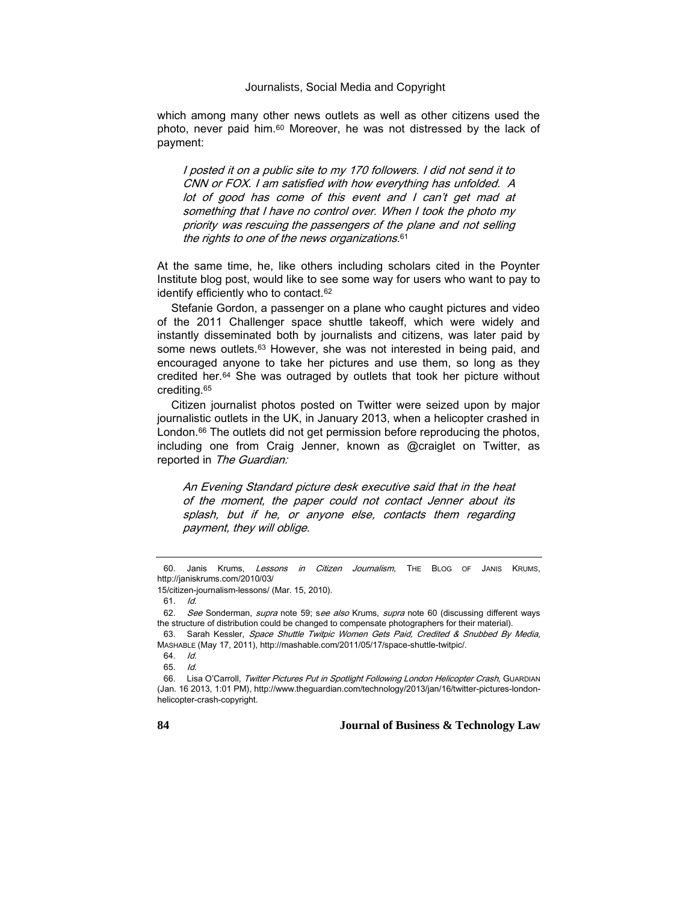which among many other news outlets as well as other citizens used the photo, never paid him.<sup>60</sup> Moreover, he was not distressed by the lack of payment:

I posted it on a public site to my 170 followers. I did not send it to CNN or FOX. I am satisfied with how everything has unfolded. A lot of good has come of this event and I can't get mad at something that I have no control over. When I took the photo my priority was rescuing the passengers of the plane and not selling the rights to one of the news organizations. 61

At the same time, he, like others including scholars cited in the Poynter Institute blog post, would like to see some way for users who want to pay to identify efficiently who to contact.<sup>62</sup>

Stefanie Gordon, a passenger on a plane who caught pictures and video of the 2011 Challenger space shuttle takeoff, which were widely and instantly disseminated both by journalists and citizens, was later paid by some news outlets.<sup>63</sup> However, she was not interested in being paid, and encouraged anyone to take her pictures and use them, so long as they credited her.<sup>64</sup> She was outraged by outlets that took her picture without crediting.<sup>65</sup>

Citizen journalist photos posted on Twitter were seized upon by major journalistic outlets in the UK, in January 2013, when a helicopter crashed in London.<sup>66</sup> The outlets did not get permission before reproducing the photos, including one from Craig Jenner, known as @craiglet on Twitter, as reported in The Guardian:

An Evening Standard picture desk executive said that in the heat of the moment, the paper could not contact Jenner about its splash, but if he, or anyone else, contacts them regarding payment, they will oblige.

<sup>60.</sup> Janis Krums, Lessons in Citizen Journalism, THE BLOG OF JANIS KRUMS, http://janiskrums.com/2010/03/

<sup>15/</sup>citizen-journalism-lessons/ (Mar. 15, 2010).

<sup>61.</sup> Id.

<sup>62.</sup> See Sonderman, supra note 59; see also Krums, supra note 60 (discussing different ways the structure of distribution could be changed to compensate photographers for their material).

<sup>63.</sup> Sarah Kessler, Space Shuttle Twitpic Women Gets Paid, Credited & Snubbed By Media, MASHABLE (May 17, 2011), http://mashable.com/2011/05/17/space-shuttle-twitpic/.

<sup>64.</sup> Id.

<sup>65.</sup> Id.

<sup>66.</sup> Lisa O'Carroll, Twitter Pictures Put in Spotlight Following London Helicopter Crash, GUARDIAN (Jan. 16 2013, 1:01 PM), http://www.theguardian.com/technology/2013/jan/16/twitter-pictures-londonhelicopter-crash-copyright.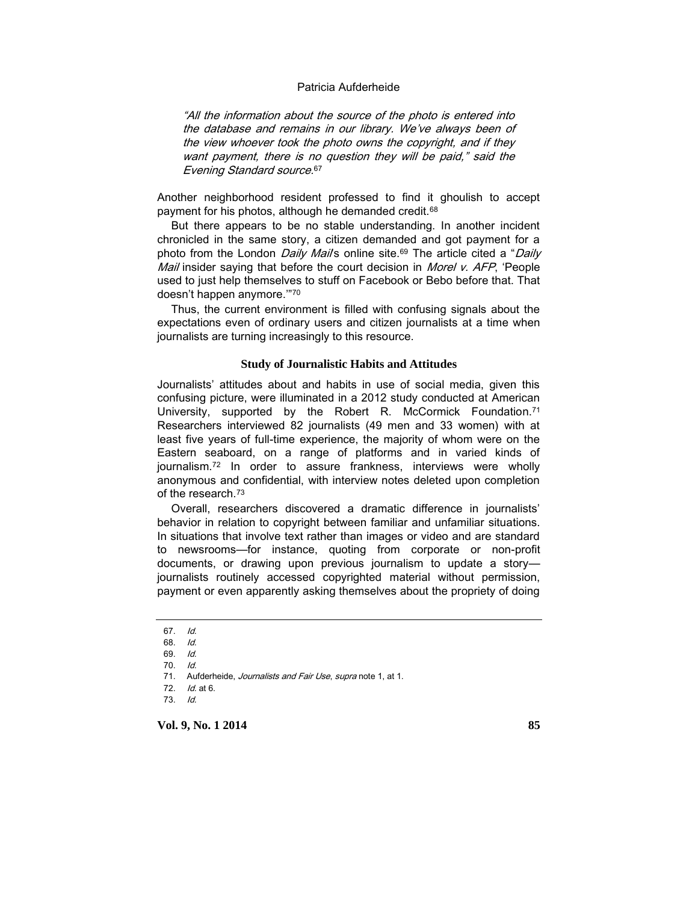"All the information about the source of the photo is entered into the database and remains in our library. We've always been of the view whoever took the photo owns the copyright, and if they want payment, there is no question they will be paid," said the Evening Standard source. 67

Another neighborhood resident professed to find it ghoulish to accept payment for his photos, although he demanded credit.<sup>68</sup>

But there appears to be no stable understanding. In another incident chronicled in the same story, a citizen demanded and got payment for a photo from the London *Daily Mail'*s online site.<sup>69</sup> The article cited a "Daily Mail insider saying that before the court decision in Morel v. AFP, 'People used to just help themselves to stuff on Facebook or Bebo before that. That doesn't happen anymore.'"<sup>70</sup>

Thus, the current environment is filled with confusing signals about the expectations even of ordinary users and citizen journalists at a time when journalists are turning increasingly to this resource.

#### **Study of Journalistic Habits and Attitudes**

Journalists' attitudes about and habits in use of social media, given this confusing picture, were illuminated in a 2012 study conducted at American University, supported by the Robert R. McCormick Foundation.<sup>71</sup> Researchers interviewed 82 journalists (49 men and 33 women) with at least five years of full-time experience, the majority of whom were on the Eastern seaboard, on a range of platforms and in varied kinds of journalism.<sup>72</sup> In order to assure frankness, interviews were wholly anonymous and confidential, with interview notes deleted upon completion of the research.<sup>73</sup>

Overall, researchers discovered a dramatic difference in journalists' behavior in relation to copyright between familiar and unfamiliar situations. In situations that involve text rather than images or video and are standard to newsrooms—for instance, quoting from corporate or non-profit documents, or drawing upon previous journalism to update a story journalists routinely accessed copyrighted material without permission, payment or even apparently asking themselves about the propriety of doing

71. Aufderheide, Journalists and Fair Use, supra note 1, at 1.

72. Id. at 6.

73. Id.

<sup>67.</sup> Id.

<sup>68.</sup> Id.

<sup>69.</sup> Id.

<sup>70.</sup> Id.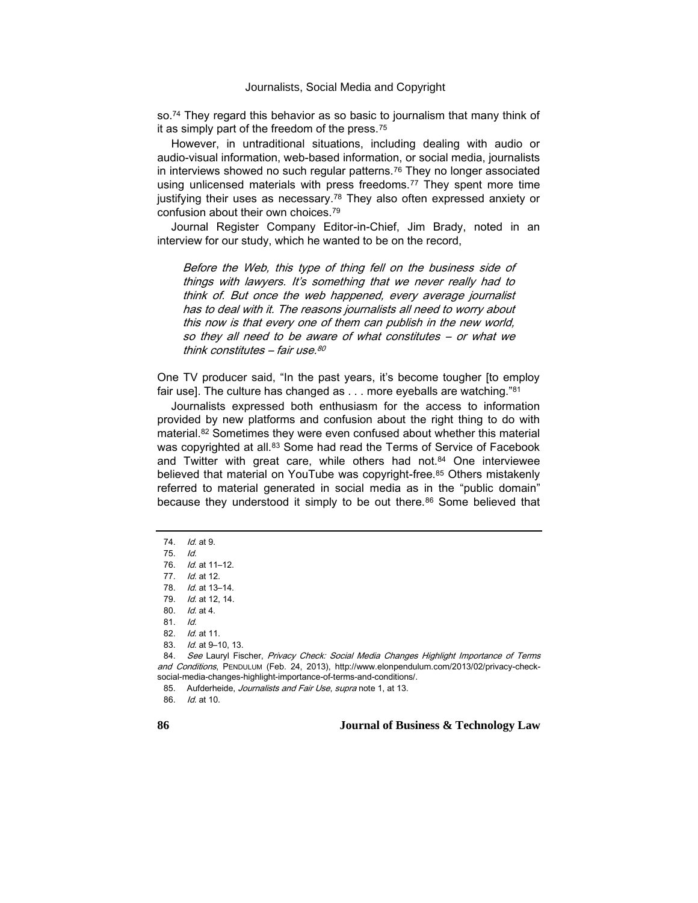so.<sup>74</sup> They regard this behavior as so basic to journalism that many think of it as simply part of the freedom of the press.<sup>75</sup>

However, in untraditional situations, including dealing with audio or audio-visual information, web-based information, or social media, journalists in interviews showed no such regular patterns.<sup>76</sup> They no longer associated using unlicensed materials with press freedoms.<sup>77</sup> They spent more time justifying their uses as necessary.<sup>78</sup> They also often expressed anxiety or confusion about their own choices.<sup>79</sup>

Journal Register Company Editor-in-Chief, Jim Brady, noted in an interview for our study, which he wanted to be on the record,

Before the Web, this type of thing fell on the business side of things with lawyers. It's something that we never really had to think of. But once the web happened, every average journalist has to deal with it. The reasons journalists all need to worry about this now is that every one of them can publish in the new world, so they all need to be aware of what constitutes – or what we think constitutes – fair use. 80

One TV producer said, "In the past years, it's become tougher [to employ fair use]. The culture has changed as . . . more eyeballs are watching."<sup>81</sup>

Journalists expressed both enthusiasm for the access to information provided by new platforms and confusion about the right thing to do with material.<sup>82</sup> Sometimes they were even confused about whether this material was copyrighted at all.<sup>83</sup> Some had read the Terms of Service of Facebook and Twitter with great care, while others had not.<sup>84</sup> One interviewee believed that material on YouTube was copyright-free.<sup>85</sup> Others mistakenly referred to material generated in social media as in the "public domain" because they understood it simply to be out there.<sup>86</sup> Some believed that

<sup>74.</sup> *Id.* at 9.

<sup>75.</sup> Id.

<sup>76.</sup> Id. at 11–12.

<sup>77.</sup> *Id.* at 12.

<sup>78.</sup> Id. at 13–14.

<sup>79.</sup> Id. at 12, 14.

<sup>80.</sup> Id. at 4.

<sup>81.</sup> Id.

<sup>82.</sup> Id. at 11.

<sup>83.</sup> *Id.* at 9-10, 13.

<sup>84.</sup> See Lauryl Fischer, Privacy Check: Social Media Changes Highlight Importance of Terms and Conditions, PENDULUM (Feb. 24, 2013), http://www.elonpendulum.com/2013/02/privacy-checksocial-media-changes-highlight-importance-of-terms-and-conditions/.

<sup>85.</sup> Aufderheide, Journalists and Fair Use, supra note 1, at 13.

<sup>86.</sup> Id. at 10.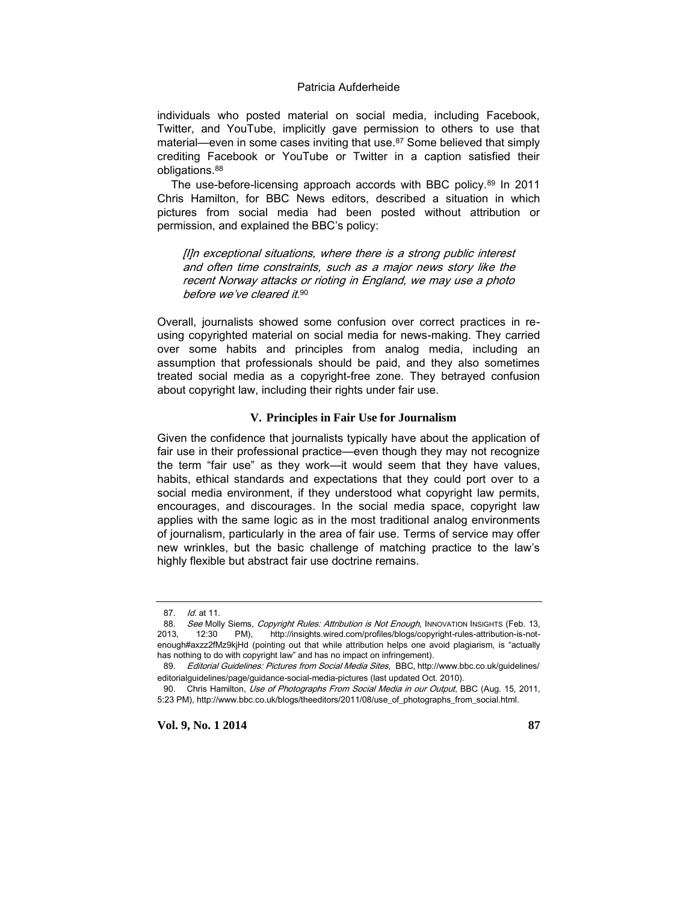individuals who posted material on social media, including Facebook, Twitter, and YouTube, implicitly gave permission to others to use that material—even in some cases inviting that use.<sup>87</sup> Some believed that simply crediting Facebook or YouTube or Twitter in a caption satisfied their obligations.<sup>88</sup>

The use-before-licensing approach accords with BBC policy.<sup>89</sup> In 2011 Chris Hamilton, for BBC News editors, described a situation in which pictures from social media had been posted without attribution or permission, and explained the BBC's policy:

[I]n exceptional situations, where there is a strong public interest and often time constraints, such as a major news story like the recent Norway attacks or rioting in England, we may use a photo before we've cleared it.<sup>90</sup>

Overall, journalists showed some confusion over correct practices in reusing copyrighted material on social media for news-making. They carried over some habits and principles from analog media, including an assumption that professionals should be paid, and they also sometimes treated social media as a copyright-free zone. They betrayed confusion about copyright law, including their rights under fair use.

#### **V. Principles in Fair Use for Journalism**

Given the confidence that journalists typically have about the application of fair use in their professional practice—even though they may not recognize the term "fair use" as they work—it would seem that they have values, habits, ethical standards and expectations that they could port over to a social media environment, if they understood what copyright law permits, encourages, and discourages. In the social media space, copyright law applies with the same logic as in the most traditional analog environments of journalism, particularly in the area of fair use. Terms of service may offer new wrinkles, but the basic challenge of matching practice to the law's highly flexible but abstract fair use doctrine remains.

<sup>87.</sup> Id. at 11.

<sup>88.</sup> See Molly Siems, Copyright Rules: Attribution is Not Enough, INNOVATION INSIGHTS (Feb. 13, 2013, 12:30 PM), http://insights.wired.com/profiles/blogs/copyright-rules-attribution-is-notenough#axzz2fMz9kjHd (pointing out that while attribution helps one avoid plagiarism, is "actually has nothing to do with copyright law" and has no impact on infringement).

<sup>89.</sup> Editorial Guidelines: Pictures from Social Media Sites, BBC, http://www.bbc.co.uk/guidelines/ editorialguidelines/page/guidance-social-media-pictures (last updated Oct. 2010).

<sup>90.</sup> Chris Hamilton, Use of Photographs From Social Media in our Output, BBC (Aug. 15, 2011, 5:23 PM), http://www.bbc.co.uk/blogs/theeditors/2011/08/use\_of\_photographs\_from\_social.html.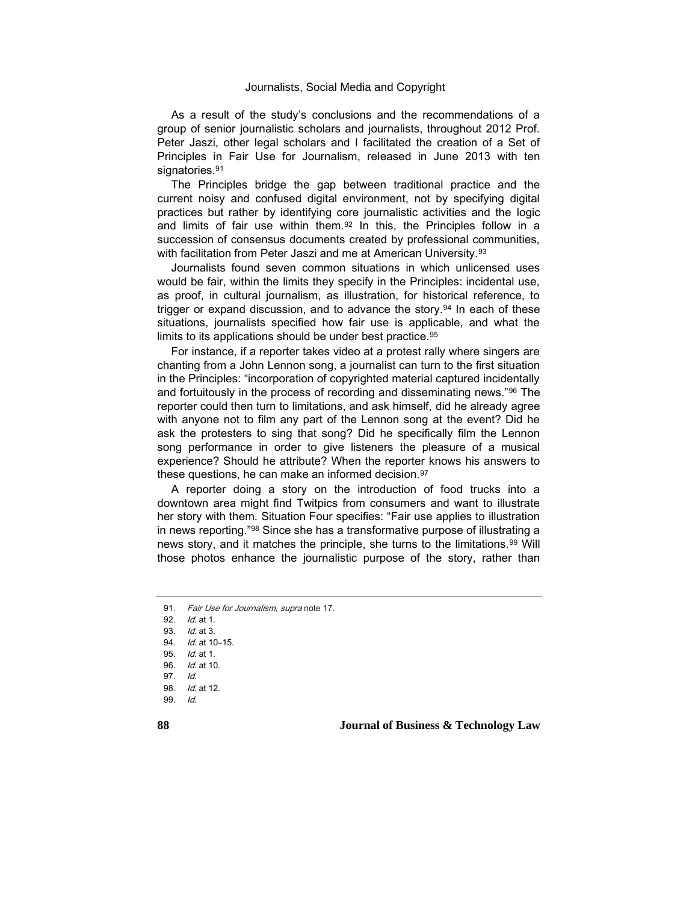As a result of the study's conclusions and the recommendations of a group of senior journalistic scholars and journalists, throughout 2012 Prof. Peter Jaszi, other legal scholars and I facilitated the creation of a Set of Principles in Fair Use for Journalism, released in June 2013 with ten signatories.<sup>91</sup>

The Principles bridge the gap between traditional practice and the current noisy and confused digital environment, not by specifying digital practices but rather by identifying core journalistic activities and the logic and limits of fair use within them.<sup>92</sup> In this, the Principles follow in a succession of consensus documents created by professional communities, with facilitation from Peter Jaszi and me at American University.<sup>93</sup>

Journalists found seven common situations in which unlicensed uses would be fair, within the limits they specify in the Principles: incidental use, as proof, in cultural journalism, as illustration, for historical reference, to trigger or expand discussion, and to advance the story.<sup>94</sup> In each of these situations, journalists specified how fair use is applicable, and what the limits to its applications should be under best practice.<sup>95</sup>

For instance, if a reporter takes video at a protest rally where singers are chanting from a John Lennon song, a journalist can turn to the first situation in the Principles: "incorporation of copyrighted material captured incidentally and fortuitously in the process of recording and disseminating news."<sup>96</sup> The reporter could then turn to limitations, and ask himself, did he already agree with anyone not to film any part of the Lennon song at the event? Did he ask the protesters to sing that song? Did he specifically film the Lennon song performance in order to give listeners the pleasure of a musical experience? Should he attribute? When the reporter knows his answers to these questions, he can make an informed decision.<sup>97</sup>

A reporter doing a story on the introduction of food trucks into a downtown area might find Twitpics from consumers and want to illustrate her story with them. Situation Four specifies: "Fair use applies to illustration in news reporting."<sup>98</sup> Since she has a transformative purpose of illustrating a news story, and it matches the principle, she turns to the limitations.<sup>99</sup> Will those photos enhance the journalistic purpose of the story, rather than

92. Id. at 1.

<sup>91.</sup> Fair Use for Journalism, supra note 17.

<sup>93.</sup> Id. at 3.

<sup>94.</sup> *Id.* at 10-15.

<sup>95.</sup> Id. at 1.

<sup>96.</sup> Id. at 10.

<sup>97.</sup> Id.

<sup>98.</sup> Id. at 12.

<sup>99.</sup> Id.